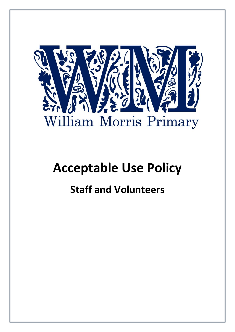

## **Acceptable Use Policy**

## **Staff and Volunteers**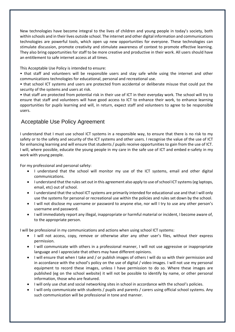New technologies have become integral to the lives of children and young people in today's society, both within schools and in their lives outside school. The internet and other digital information and communications technologies are powerful tools, which open up new opportunities for everyone. These technologies can stimulate discussion, promote creativity and stimulate awareness of context to promote effective learning. They also bring opportunities for staff to be more creative and productive in their work. All users should have an entitlement to safe internet access at all times.

This Acceptable Use Policy is intended to ensure:

• that staff and volunteers will be responsible users and stay safe while using the internet and other communications technologies for educational, personal and recreational use.

• that school ICT systems and users are protected from accidental or deliberate misuse that could put the security of the systems and users at risk.

• that staff are protected from potential risk in their use of ICT in their everyday work. The school will try to ensure that staff and volunteers will have good access to ICT to enhance their work, to enhance learning opportunities for pupil*s* learning and will, in return, expect staff and volunteers to agree to be responsible users.

## Acceptable Use Policy Agreement

I understand that I must use school ICT systems in a responsible way, to ensure that there is no risk to my safety or to the safety and security of the ICT systems and other users. I recognise the value of the use of ICT for enhancing learning and will ensure that students / pupils receive opportunities to gain from the use of ICT. I will, where possible, educate the young people in my care in the safe use of ICT and embed e-safety in my work with young people.

For my professional and personal safety:

- I understand that the school will monitor my use of the ICT systems, email and other digital communications.
- I understand that the rules set out in this agreement also apply to use of school ICT systems (eg laptops, email, etc) out of school.
- I understand that the school ICT systems are primarily intended for educational use and that I will only use the systems for personal or recreational use within the policies and rules set down by the school.
- I will not disclose my username or password to anyone else, nor will I try to use any other person's username and password.
- I will immediately report any illegal, inappropriate or harmful material or incident, I become aware of, to the appropriate person.

I will be professional in my communications and actions when using school ICT systems:

- I will not access, copy, remove or otherwise alter any other user's files, without their express permission.
- I will communicate with others in a professional manner, I will not use aggressive or inappropriate language and I appreciate that others may have different opinions.
- I will ensure that when I take and / or publish images of others I will do so with their permission and in accordance with the school's policy on the use of digital / video images. I will not use my personal equipment to record these images, unless I have permission to do so. Where these images are published (eg on the school website) it will not be possible to identify by name, or other personal information, those who are featured.
- I will only use chat and social networking sites in school in accordance with the school's policies.
- I will only communicate with students / pupils and parents / carers using official school systems. Any such communication will be professional in tone and manner.